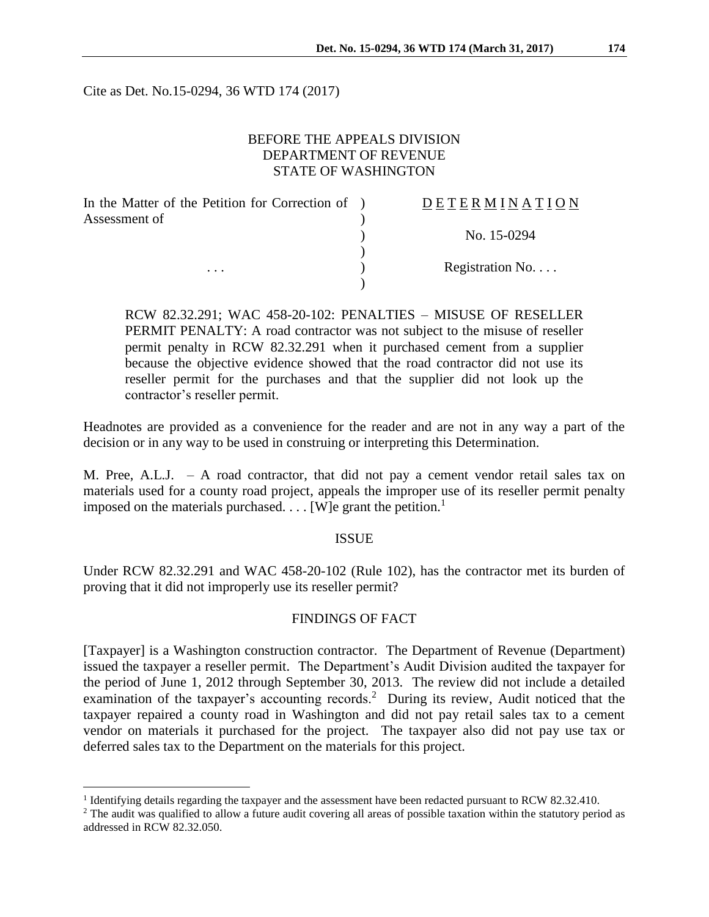Cite as Det. No.15-0294, 36 WTD 174 (2017)

# BEFORE THE APPEALS DIVISION DEPARTMENT OF REVENUE STATE OF WASHINGTON

| In the Matter of the Petition for Correction of ) | <b>DETERMINATION</b> |
|---------------------------------------------------|----------------------|
| Assessment of                                     | No. 15-0294          |
| $\cdots$                                          |                      |
|                                                   | Registration No      |
|                                                   |                      |

RCW 82.32.291; WAC 458-20-102: PENALTIES – MISUSE OF RESELLER PERMIT PENALTY: A road contractor was not subject to the misuse of reseller permit penalty in RCW 82.32.291 when it purchased cement from a supplier because the objective evidence showed that the road contractor did not use its reseller permit for the purchases and that the supplier did not look up the contractor's reseller permit.

Headnotes are provided as a convenience for the reader and are not in any way a part of the decision or in any way to be used in construing or interpreting this Determination.

M. Pree, A.L.J. – A road contractor, that did not pay a cement vendor retail sales tax on materials used for a county road project, appeals the improper use of its reseller permit penalty imposed on the materials purchased.  $\ldots$  [W]e grant the petition.<sup>1</sup>

#### ISSUE

Under RCW 82.32.291 and WAC 458-20-102 (Rule 102), has the contractor met its burden of proving that it did not improperly use its reseller permit?

## FINDINGS OF FACT

[Taxpayer] is a Washington construction contractor. The Department of Revenue (Department) issued the taxpayer a reseller permit. The Department's Audit Division audited the taxpayer for the period of June 1, 2012 through September 30, 2013. The review did not include a detailed examination of the taxpayer's accounting records.<sup>2</sup> During its review, Audit noticed that the taxpayer repaired a county road in Washington and did not pay retail sales tax to a cement vendor on materials it purchased for the project. The taxpayer also did not pay use tax or deferred sales tax to the Department on the materials for this project.

 $\overline{a}$ 

<sup>&</sup>lt;sup>1</sup> Identifying details regarding the taxpayer and the assessment have been redacted pursuant to RCW 82.32.410.

<sup>&</sup>lt;sup>2</sup> The audit was qualified to allow a future audit covering all areas of possible taxation within the statutory period as addressed in RCW 82.32.050.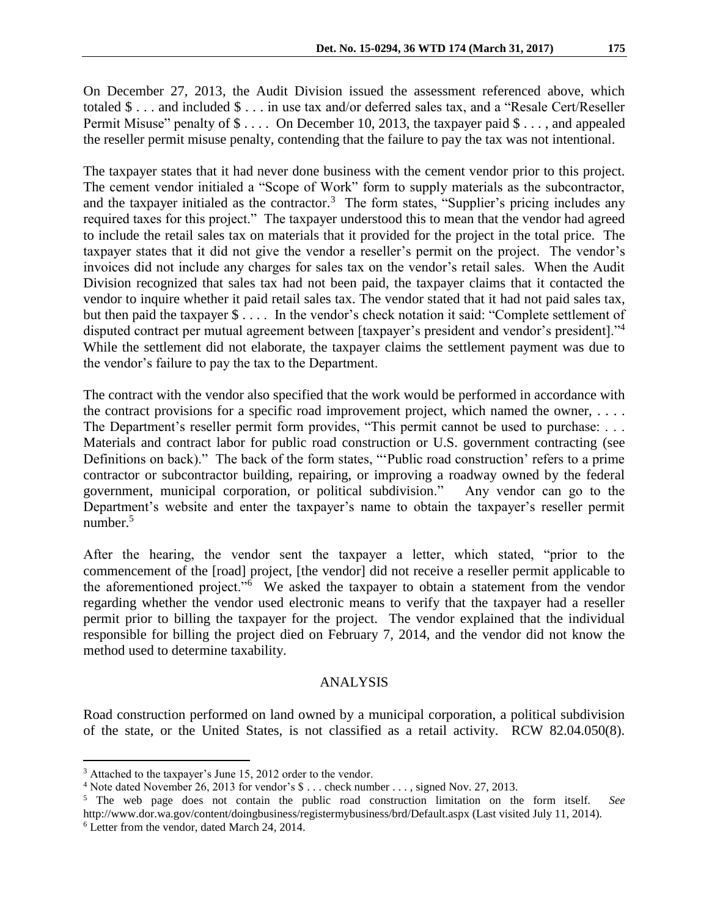On December 27, 2013, the Audit Division issued the assessment referenced above, which totaled \$ . . . and included \$ . . . in use tax and/or deferred sales tax, and a "Resale Cert/Reseller Permit Misuse" penalty of  $\$\ldots$  On December 10, 2013, the taxpayer paid  $\$\ldots$ , and appealed the reseller permit misuse penalty, contending that the failure to pay the tax was not intentional.

The taxpayer states that it had never done business with the cement vendor prior to this project. The cement vendor initialed a "Scope of Work" form to supply materials as the subcontractor, and the taxpayer initialed as the contractor.<sup>3</sup> The form states, "Supplier's pricing includes any required taxes for this project." The taxpayer understood this to mean that the vendor had agreed to include the retail sales tax on materials that it provided for the project in the total price. The taxpayer states that it did not give the vendor a reseller's permit on the project. The vendor's invoices did not include any charges for sales tax on the vendor's retail sales. When the Audit Division recognized that sales tax had not been paid, the taxpayer claims that it contacted the vendor to inquire whether it paid retail sales tax. The vendor stated that it had not paid sales tax, but then paid the taxpayer \$ . . . . In the vendor's check notation it said: "Complete settlement of disputed contract per mutual agreement between [taxpayer's president and vendor's president]."<sup>4</sup> While the settlement did not elaborate, the taxpayer claims the settlement payment was due to the vendor's failure to pay the tax to the Department.

The contract with the vendor also specified that the work would be performed in accordance with the contract provisions for a specific road improvement project, which named the owner,  $\dots$ . The Department's reseller permit form provides, "This permit cannot be used to purchase: . . . Materials and contract labor for public road construction or U.S. government contracting (see Definitions on back)." The back of the form states, "'Public road construction' refers to a prime contractor or subcontractor building, repairing, or improving a roadway owned by the federal government, municipal corporation, or political subdivision." Any vendor can go to the Department's website and enter the taxpayer's name to obtain the taxpayer's reseller permit number. $5$ 

After the hearing, the vendor sent the taxpayer a letter, which stated, "prior to the commencement of the [road] project, [the vendor] did not receive a reseller permit applicable to the aforementioned project."<sup>6</sup> We asked the taxpayer to obtain a statement from the vendor regarding whether the vendor used electronic means to verify that the taxpayer had a reseller permit prior to billing the taxpayer for the project. The vendor explained that the individual responsible for billing the project died on February 7, 2014, and the vendor did not know the method used to determine taxability.

### ANALYSIS

Road construction performed on land owned by a municipal corporation, a political subdivision of the state, or the United States, is not classified as a retail activity. RCW 82.04.050(8).

 $\overline{a}$ 

<sup>&</sup>lt;sup>3</sup> Attached to the taxpayer's June 15, 2012 order to the vendor.

<sup>&</sup>lt;sup>4</sup> Note dated November 26, 2013 for vendor's \$ . . . check number . . . , signed Nov. 27, 2013.

<sup>5</sup> The web page does not contain the public road construction limitation on the form itself. *See* http://www.dor.wa.gov/content/doingbusiness/registermybusiness/brd/Default.aspx (Last visited July 11, 2014).

<sup>6</sup> Letter from the vendor, dated March 24, 2014.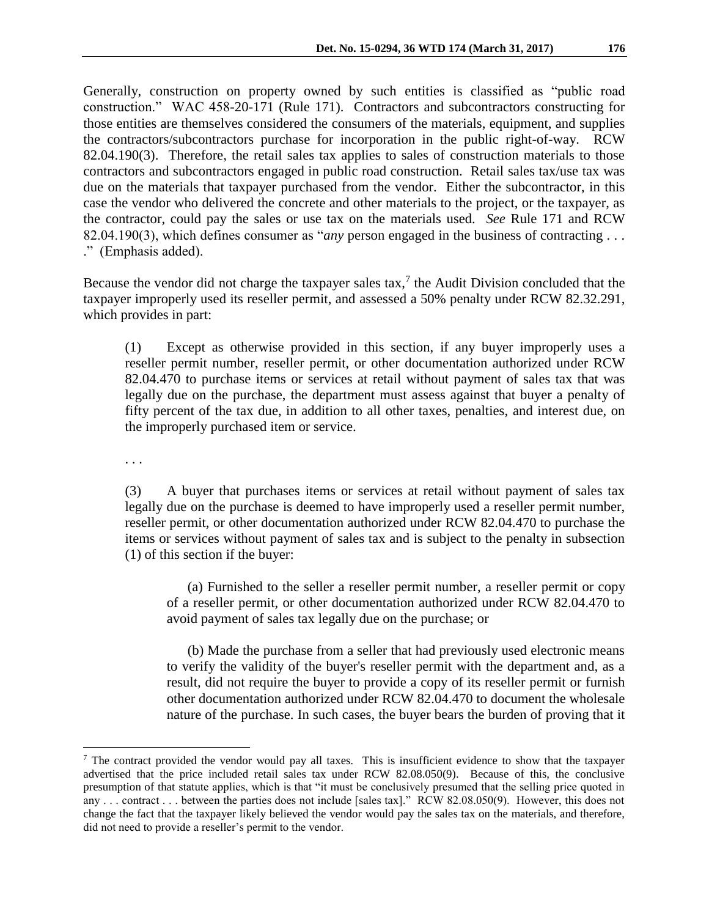Generally, construction on property owned by such entities is classified as "public road construction." WAC 458-20-171 (Rule 171). Contractors and subcontractors constructing for those entities are themselves considered the consumers of the materials, equipment, and supplies the contractors/subcontractors purchase for incorporation in the public right-of-way. RCW 82.04.190(3). Therefore, the retail sales tax applies to sales of construction materials to those contractors and subcontractors engaged in public road construction. Retail sales tax/use tax was due on the materials that taxpayer purchased from the vendor. Either the subcontractor, in this case the vendor who delivered the concrete and other materials to the project, or the taxpayer, as the contractor, could pay the sales or use tax on the materials used. *See* Rule 171 and RCW 82.04.190(3), which defines consumer as "*any* person engaged in the business of contracting . . . ." (Emphasis added).

Because the vendor did not charge the taxpayer sales  $\text{tax}$ , the Audit Division concluded that the taxpayer improperly used its reseller permit, and assessed a 50% penalty under RCW 82.32.291, which provides in part:

(1) Except as otherwise provided in this section, if any buyer improperly uses a reseller permit number, reseller permit, or other documentation authorized under RCW 82.04.470 to purchase items or services at retail without payment of sales tax that was legally due on the purchase, the department must assess against that buyer a penalty of fifty percent of the tax due, in addition to all other taxes, penalties, and interest due, on the improperly purchased item or service.

. . .

 $\overline{a}$ 

(3) A buyer that purchases items or services at retail without payment of sales tax legally due on the purchase is deemed to have improperly used a reseller permit number, reseller permit, or other documentation authorized under RCW 82.04.470 to purchase the items or services without payment of sales tax and is subject to the penalty in subsection (1) of this section if the buyer:

(a) Furnished to the seller a reseller permit number, a reseller permit or copy of a reseller permit, or other documentation authorized under RCW 82.04.470 to avoid payment of sales tax legally due on the purchase; or

(b) Made the purchase from a seller that had previously used electronic means to verify the validity of the buyer's reseller permit with the department and, as a result, did not require the buyer to provide a copy of its reseller permit or furnish other documentation authorized under RCW 82.04.470 to document the wholesale nature of the purchase. In such cases, the buyer bears the burden of proving that it

 $\frac{7}{1}$  The contract provided the vendor would pay all taxes. This is insufficient evidence to show that the taxpayer advertised that the price included retail sales tax under RCW 82.08.050(9). Because of this, the conclusive presumption of that statute applies, which is that "it must be conclusively presumed that the selling price quoted in any . . . contract . . . between the parties does not include [sales tax]." RCW 82.08.050(9). However, this does not change the fact that the taxpayer likely believed the vendor would pay the sales tax on the materials, and therefore, did not need to provide a reseller's permit to the vendor.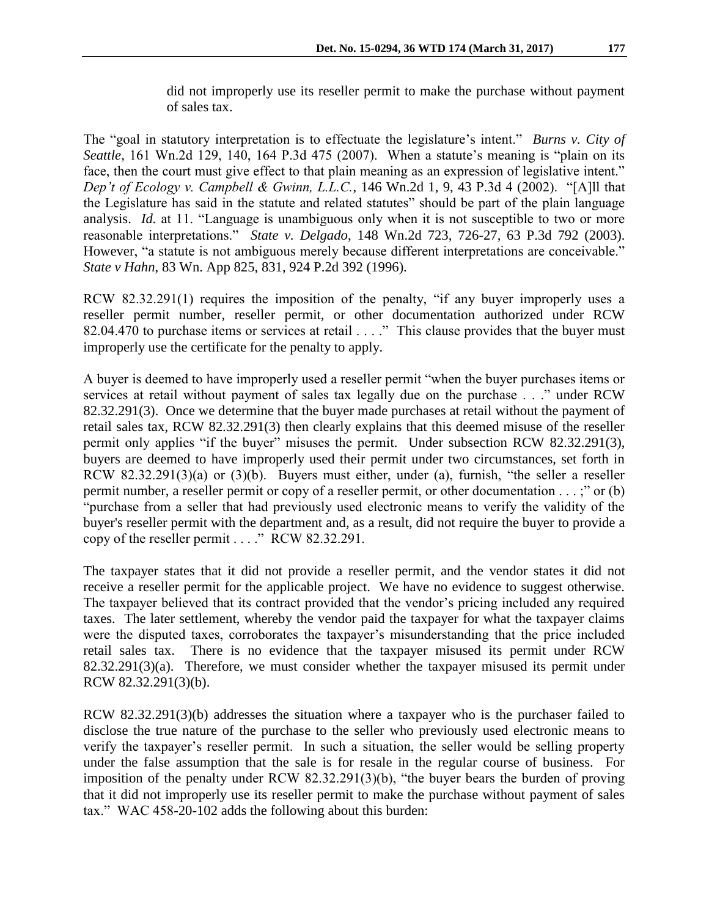did not improperly use its reseller permit to make the purchase without payment of sales tax.

The "goal in statutory interpretation is to effectuate the legislature's intent." *Burns v. City of Seattle,* 161 Wn.2d 129, 140, 164 P.3d 475 (2007). When a statute's meaning is "plain on its face, then the court must give effect to that plain meaning as an expression of legislative intent." *Dep't of Ecology v. Campbell & Gwinn, L.L.C.*, 146 Wn.2d 1, 9, 43 P.3d 4 (2002). "[A]ll that the Legislature has said in the statute and related statutes" should be part of the plain language analysis. *Id.* at 11. "Language is unambiguous only when it is not susceptible to two or more reasonable interpretations." *State v. Delgado*, 148 Wn.2d 723, 726-27, 63 P.3d 792 (2003). However, "a statute is not ambiguous merely because different interpretations are conceivable." *State v Hahn*, 83 Wn. App 825, 831, 924 P.2d 392 (1996).

RCW 82.32.291(1) requires the imposition of the penalty, "if any buyer improperly uses a reseller permit number, reseller permit, or other documentation authorized under RCW 82.04.470 to purchase items or services at retail . . . ." This clause provides that the buyer must improperly use the certificate for the penalty to apply.

A buyer is deemed to have improperly used a reseller permit "when the buyer purchases items or services at retail without payment of sales tax legally due on the purchase . . ." under RCW 82.32.291(3). Once we determine that the buyer made purchases at retail without the payment of retail sales tax, RCW 82.32.291(3) then clearly explains that this deemed misuse of the reseller permit only applies "if the buyer" misuses the permit. Under subsection RCW 82.32.291(3), buyers are deemed to have improperly used their permit under two circumstances, set forth in RCW 82.32.291(3)(a) or (3)(b). Buyers must either, under (a), furnish, "the seller a reseller permit number, a reseller permit or copy of a reseller permit, or other documentation . . . ;" or (b) "purchase from a seller that had previously used electronic means to verify the validity of the buyer's reseller permit with the department and, as a result, did not require the buyer to provide a copy of the reseller permit . . . ." RCW 82.32.291.

The taxpayer states that it did not provide a reseller permit, and the vendor states it did not receive a reseller permit for the applicable project. We have no evidence to suggest otherwise. The taxpayer believed that its contract provided that the vendor's pricing included any required taxes. The later settlement, whereby the vendor paid the taxpayer for what the taxpayer claims were the disputed taxes, corroborates the taxpayer's misunderstanding that the price included retail sales tax. There is no evidence that the taxpayer misused its permit under RCW 82.32.291(3)(a). Therefore, we must consider whether the taxpayer misused its permit under RCW 82.32.291(3)(b).

RCW 82.32.291(3)(b) addresses the situation where a taxpayer who is the purchaser failed to disclose the true nature of the purchase to the seller who previously used electronic means to verify the taxpayer's reseller permit. In such a situation, the seller would be selling property under the false assumption that the sale is for resale in the regular course of business. For imposition of the penalty under RCW 82.32.291(3)(b), "the buyer bears the burden of proving that it did not improperly use its reseller permit to make the purchase without payment of sales tax." WAC 458-20-102 adds the following about this burden: